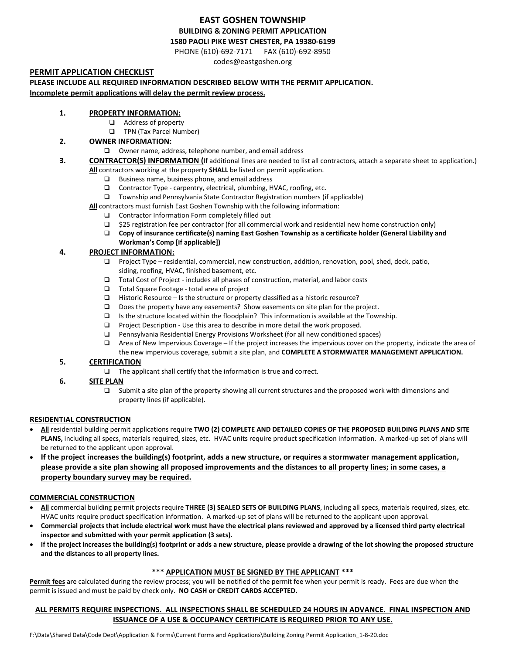## **EAST GOSHEN TOWNSHIP BUILDING & ZONING PERMIT APPLICATION 1580 PAOLI PIKE WEST CHESTER, PA 19380-6199**

PHONE (610)-692-7171 FAX (610)-692-8950

codes@eastgoshen.org

### **PERMIT APPLICATION CHECKLIST**

**PLEASE INCLUDE ALL REQUIRED INFORMATION DESCRIBED BELOW WITH THE PERMIT APPLICATION.**

**Incomplete permit applications will delay the permit review process.**

#### **1. PROPERTY INFORMATION:**

- Address of property
- **TPN (Tax Parcel Number)**

### **2. OWNER INFORMATION:**

Owner name, address, telephone number, and email address

#### **3. CONTRACTOR(S) INFORMATION (**If additional lines are needed to list all contractors, attach a separate sheet to application.) **All** contractors working at the property **SHALL** be listed on permit application.

- $\Box$  Business name, business phone, and email address
- □ Contractor Type carpentry, electrical, plumbing, HVAC, roofing, etc.
- Township and Pennsylvania State Contractor Registration numbers (if applicable)

**All** contractors must furnish East Goshen Township with the following information:

- □ Contractor Information Form completely filled out
- $\Box$  \$25 registration fee per contractor (for all commercial work and residential new home construction only)
- **Copy of insurance certificate(s) naming East Goshen Township as a certificate holder (General Liability and Workman's Comp [if applicable])**

### **4. PROJECT INFORMATION:**

- $\Box$  Project Type residential, commercial, new construction, addition, renovation, pool, shed, deck, patio, siding, roofing, HVAC, finished basement, etc.
- $\Box$  Total Cost of Project includes all phases of construction, material, and labor costs
- Total Square Footage total area of project
- $\Box$  Historic Resource Is the structure or property classified as a historic resource?
- Does the property have any easements? Show easements on site plan for the project.
- $\Box$  Is the structure located within the floodplain? This information is available at the Township.
- $\Box$  Project Description Use this area to describe in more detail the work proposed.
- Pennsylvania Residential Energy Provisions Worksheet (for all new conditioned spaces)
- Area of New Impervious Coverage If the project increases the impervious cover on the property, indicate the area of the new impervious coverage, submit a site plan, and **COMPLETE A STORMWATER MANAGEMENT APPLICATION.**

#### **5. CERTIFICATION**

- $\Box$  The applicant shall certify that the information is true and correct.
- **6. SITE PLAN**
	- Submit a site plan of the property showing all current structures and the proposed work with dimensions and property lines (if applicable).

#### **RESIDENTIAL CONSTRUCTION**

- **All** residential building permit applications require **TWO (2) COMPLETE AND DETAILED COPIES OF THE PROPOSED BUILDING PLANS AND SITE**  PLANS, including all specs, materials required, sizes, etc. HVAC units require product specification information. A marked-up set of plans will be returned to the applicant upon approval.
- **If the project increases the building(s) footprint, adds a new structure, or requires a stormwater management application, please provide a site plan showing all proposed improvements and the distances to all property lines; in some cases, a property boundary survey may be required.**

#### **COMMERCIAL CONSTRUCTION**

- **All** commercial building permit projects require **THREE (3) SEALED SETS OF BUILDING PLANS**, including all specs, materials required, sizes, etc. HVAC units require product specification information. A marked-up set of plans will be returned to the applicant upon approval.
- **Commercial projects that include electrical work must have the electrical plans reviewed and approved by a licensed third party electrical inspector and submitted with your permit application (3 sets).**
- **If the project increases the building(s) footprint or adds a new structure, please provide a drawing of the lot showing the proposed structure and the distances to all property lines.**

### **\*\*\* APPLICATION MUST BE SIGNED BY THE APPLICANT \*\*\***

**Permit fees** are calculated during the review process; you will be notified of the permit fee when your permit is ready. Fees are due when the permit is issued and must be paid by check only. **NO CASH or CREDIT CARDS ACCEPTED.**

### **ALL PERMITS REQUIRE INSPECTIONS. ALL INSPECTIONS SHALL BE SCHEDULED 24 HOURS IN ADVANCE. FINAL INSPECTION AND ISSUANCE OF A USE & OCCUPANCY CERTIFICATE IS REQUIRED PRIOR TO ANY USE.**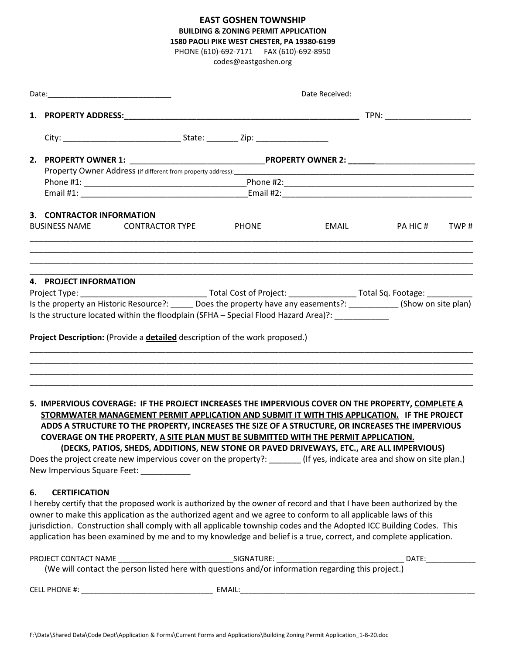## **EAST GOSHEN TOWNSHIP BUILDING & ZONING PERMIT APPLICATION 1580 PAOLI PIKE WEST CHESTER, PA 19380-6199**

PHONE (610)-692-7171 FAX (610)-692-8950

codes@eastgoshen.org

|    |                                                                                                                                                                                                                                   |                                                                                                                                                                                                                                                                                                                                                                                                                                                                                                                                                                                                                     | Date Received: |  |                   |  |  |
|----|-----------------------------------------------------------------------------------------------------------------------------------------------------------------------------------------------------------------------------------|---------------------------------------------------------------------------------------------------------------------------------------------------------------------------------------------------------------------------------------------------------------------------------------------------------------------------------------------------------------------------------------------------------------------------------------------------------------------------------------------------------------------------------------------------------------------------------------------------------------------|----------------|--|-------------------|--|--|
|    |                                                                                                                                                                                                                                   |                                                                                                                                                                                                                                                                                                                                                                                                                                                                                                                                                                                                                     |                |  |                   |  |  |
|    |                                                                                                                                                                                                                                   |                                                                                                                                                                                                                                                                                                                                                                                                                                                                                                                                                                                                                     |                |  |                   |  |  |
|    |                                                                                                                                                                                                                                   |                                                                                                                                                                                                                                                                                                                                                                                                                                                                                                                                                                                                                     |                |  |                   |  |  |
|    | Property Owner Address (if different from property address):<br>1980 - 1982 - 1982 - 1982 - 1982 - 1982 - 1982 - 1982 - 1983 - 1984 - 1983 - 1984 - 1984 - 1984 - 1984 - 1984<br>1984 - 1984 - 1984 - 1984 - 1984 - 1984 - 1984 - |                                                                                                                                                                                                                                                                                                                                                                                                                                                                                                                                                                                                                     |                |  |                   |  |  |
|    |                                                                                                                                                                                                                                   |                                                                                                                                                                                                                                                                                                                                                                                                                                                                                                                                                                                                                     |                |  |                   |  |  |
|    | 3. CONTRACTOR INFORMATION                                                                                                                                                                                                         |                                                                                                                                                                                                                                                                                                                                                                                                                                                                                                                                                                                                                     |                |  |                   |  |  |
|    |                                                                                                                                                                                                                                   | BUSINESS NAME CONTRACTOR TYPE PHONE                                                                                                                                                                                                                                                                                                                                                                                                                                                                                                                                                                                 |                |  | EMAIL PAHIC# TWP# |  |  |
|    | 4. PROJECT INFORMATION                                                                                                                                                                                                            |                                                                                                                                                                                                                                                                                                                                                                                                                                                                                                                                                                                                                     |                |  |                   |  |  |
|    |                                                                                                                                                                                                                                   |                                                                                                                                                                                                                                                                                                                                                                                                                                                                                                                                                                                                                     |                |  |                   |  |  |
|    |                                                                                                                                                                                                                                   | Is the property an Historic Resource?: ______ Does the property have any easements?: ___________ (Show on site plan)                                                                                                                                                                                                                                                                                                                                                                                                                                                                                                |                |  |                   |  |  |
|    |                                                                                                                                                                                                                                   | Is the structure located within the floodplain (SFHA - Special Flood Hazard Area)?:                                                                                                                                                                                                                                                                                                                                                                                                                                                                                                                                 |                |  |                   |  |  |
|    |                                                                                                                                                                                                                                   | Project Description: (Provide a detailed description of the work proposed.)                                                                                                                                                                                                                                                                                                                                                                                                                                                                                                                                         |                |  |                   |  |  |
|    |                                                                                                                                                                                                                                   |                                                                                                                                                                                                                                                                                                                                                                                                                                                                                                                                                                                                                     |                |  |                   |  |  |
|    |                                                                                                                                                                                                                                   |                                                                                                                                                                                                                                                                                                                                                                                                                                                                                                                                                                                                                     |                |  |                   |  |  |
|    |                                                                                                                                                                                                                                   | 5. IMPERVIOUS COVERAGE: IF THE PROJECT INCREASES THE IMPERVIOUS COVER ON THE PROPERTY, COMPLETE A<br>STORMWATER MANAGEMENT PERMIT APPLICATION AND SUBMIT IT WITH THIS APPLICATION. IF THE PROJECT<br>ADDS A STRUCTURE TO THE PROPERTY, INCREASES THE SIZE OF A STRUCTURE, OR INCREASES THE IMPERVIOUS<br>COVERAGE ON THE PROPERTY, A SITE PLAN MUST BE SUBMITTED WITH THE PERMIT APPLICATION.<br>(DECKS, PATIOS, SHEDS, ADDITIONS, NEW STONE OR PAVED DRIVEWAYS, ETC., ARE ALL IMPERVIOUS)<br>Does the project create new impervious cover on the property?: _______ (If yes, indicate area and show on site plan.) |                |  |                   |  |  |
|    |                                                                                                                                                                                                                                   | New Impervious Square Feet: ___________                                                                                                                                                                                                                                                                                                                                                                                                                                                                                                                                                                             |                |  |                   |  |  |
| 6. | <b>CERTIFICATION</b>                                                                                                                                                                                                              |                                                                                                                                                                                                                                                                                                                                                                                                                                                                                                                                                                                                                     |                |  |                   |  |  |
|    |                                                                                                                                                                                                                                   | I hereby certify that the proposed work is authorized by the owner of record and that I have been authorized by the                                                                                                                                                                                                                                                                                                                                                                                                                                                                                                 |                |  |                   |  |  |
|    |                                                                                                                                                                                                                                   | owner to make this application as the authorized agent and we agree to conform to all applicable laws of this<br>jurisdiction. Construction shall comply with all applicable township codes and the Adopted ICC Building Codes. This<br>application has been examined by me and to my knowledge and belief is a true, correct, and complete application.                                                                                                                                                                                                                                                            |                |  |                   |  |  |

| PROJECT CONTACT NAME                                                                               | SIGNATURE: | $\mathsf{DATE}$ |  |  |  |  |
|----------------------------------------------------------------------------------------------------|------------|-----------------|--|--|--|--|
| (We will contact the person listed here with questions and/or information regarding this project.) |            |                 |  |  |  |  |
| <b>CELL PHONE #:</b>                                                                               | EMAIL:     |                 |  |  |  |  |

F:\Data\Shared Data\Code Dept\Application & Forms\Current Forms and Applications\Building Zoning Permit Application\_1-8-20.doc